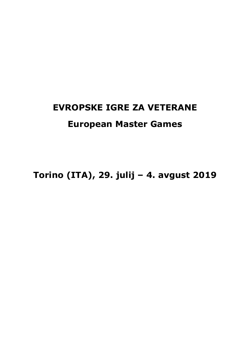# **EVROPSKE IGRE ZA VETERANE European Master Games**

**Torino (ITA), 29. julij – 4. avgust 2019**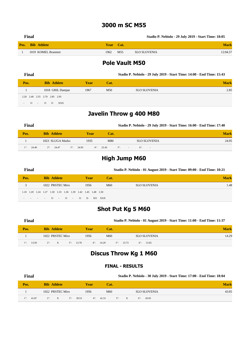#### **3000 m SC M55**

|      | Final               |           |     | Stadio P. Nebiolo - 29 July 2019 - Start Time: 18:05 |          |
|------|---------------------|-----------|-----|------------------------------------------------------|----------|
| Pos. | - Bib Athlete       | Year Cat. |     |                                                      | Mark     |
|      | 1019 KOMEL Branimir | 1962      | M55 | SLO SLOVENIA                                         | 12:04.57 |

#### **Pole Vault M50**

| Final    |                               |             |      | Stadio P. Nebiolo - 29 July 2019 - Start Time: 14:00 - End Time: 15:43 |             |
|----------|-------------------------------|-------------|------|------------------------------------------------------------------------|-------------|
| Pos.     | <b>Bib Athlete</b>            | <b>Year</b> | Cat. |                                                                        | <b>Mark</b> |
|          | 1018 GRIL Damjan              | 1967        | M50  | <b>SLO SLOVENIA</b>                                                    | 2.85        |
|          | 2.20 2.40 2.55 2.70 2.85 2.95 |             |      |                                                                        |             |
| $\sim 0$ | $\sim$ 0 0<br>XXX             |             |      |                                                                        |             |

#### **Javelin Throw g 400 M80**

| Final                |                                             |                     | Stadio P. Nebiolo - 29 July 2019 - Start Time: 16:00 - End Time: 17:40 |             |
|----------------------|---------------------------------------------|---------------------|------------------------------------------------------------------------|-------------|
| Pos.                 | <b>Bib Athlete</b>                          | Year<br>Cat.        |                                                                        | <b>Mark</b> |
|                      | 1023 SLUGA Marko                            | M80<br>1935         | <b>SLO SLOVENIA</b>                                                    | 24.95       |
| $1^{\circ}$<br>24.40 | 24.47<br>$3^{\circ}$ : 24.95<br>$2^\circ$ : | $4^{\circ}$ : 23.45 | $5^{\circ}$ : -<br>$6^{\circ}$ : -                                     |             |

#### **High Jump M60**

| Final |                                                             |  |  |                    |  |                  |  |  |             |  |      | Stadio P. Nebiolo - 01 August 2019 - Start Time: 09:00 - End Time: 10:21 |             |  |  |  |  |  |
|-------|-------------------------------------------------------------|--|--|--------------------|--|------------------|--|--|-------------|--|------|--------------------------------------------------------------------------|-------------|--|--|--|--|--|
|       | Pos.                                                        |  |  | <b>Bib Athlete</b> |  |                  |  |  | <b>Year</b> |  | Cat. |                                                                          | <b>Mark</b> |  |  |  |  |  |
|       |                                                             |  |  |                    |  | 1022 PRSTEC Miro |  |  | 1956        |  | M60  | <b>SLO SLOVENIA</b>                                                      | 1.48        |  |  |  |  |  |
|       | 1.10 1.20 1.24 1.27 1.30 1.33 1.36 1.39 1.42 1.45 1.48 1.50 |  |  |                    |  |                  |  |  |             |  |      |                                                                          |             |  |  |  |  |  |
|       | $   0$ $ 0$ $ 0$ $X$ $X0$ $XXX$                             |  |  |                    |  |                  |  |  |             |  |      |                                                                          |             |  |  |  |  |  |

#### **Shot Put Kg 5 M60**

|             | Final |                 |                    |                     |      |                     | Stadio P. Nebiolo - 01 August 2019 - Start Time: 11:00 - End Time: 11:37 |                     |                     |             |  |  |
|-------------|-------|-----------------|--------------------|---------------------|------|---------------------|--------------------------------------------------------------------------|---------------------|---------------------|-------------|--|--|
| Pos.        |       |                 | <b>Bib Athlete</b> |                     | Year | Cat.                |                                                                          |                     |                     | <b>Mark</b> |  |  |
|             |       |                 | 1022 PRSTEC Miro   |                     | 1956 | M60                 |                                                                          | <b>SLO SLOVENIA</b> |                     | 14.29       |  |  |
| $1^{\circ}$ | 13.59 | $2^{\circ}$ : X |                    | $3^{\circ}$ : 13.70 |      | $4^{\circ}$ : 14.29 | $5^\circ$ : 13.73                                                        |                     | $6^{\circ}$ : 13.65 |             |  |  |

# **Discus Throw Kg 1 M60**

#### **FINAL - RESULTS**

| Final                |                    |                     |                       | Stadio P. Nebiolo - 30 July 2019 - Start Time: 17:00 - End Time: 18:04 |             |
|----------------------|--------------------|---------------------|-----------------------|------------------------------------------------------------------------|-------------|
| Pos.                 | <b>Bib Athlete</b> | Year                | Cat.                  |                                                                        | <b>Mark</b> |
|                      | 1022 PRSTEC Miro   | 1956                | M60                   | <b>SLO SLOVENIA</b>                                                    | 43.05       |
| 41.87<br>$1^{\circ}$ | $2^{\circ}$ : X    | $3^{\circ}$ : 39.53 | $4^{\circ}$ : $41.51$ | 5°: X<br>43.05<br>$6^\circ$                                            |             |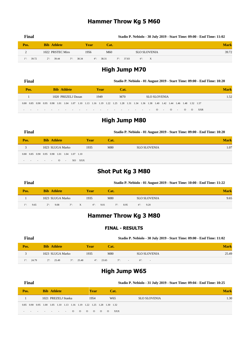# **Hammer Throw Kg 5 M60**

| Final                |                                   |                    |       |                   |                     | Stadio P. Nebiolo - 30 July 2019 - Start Time: 09:00 - End Time: 11:02 |
|----------------------|-----------------------------------|--------------------|-------|-------------------|---------------------|------------------------------------------------------------------------|
| Pos.                 | <b>Bib Athlete</b>                | <b>Year</b>        | Cat.  |                   |                     | <b>Mark</b>                                                            |
|                      | 1022 PRSTEC Miro                  | 1956               | M60   |                   | <b>SLO SLOVENIA</b> | 39.72                                                                  |
| 39.72<br>$1^\circ$ : | 39.44<br>$2^\circ$ :<br>$3^\circ$ | 38.34<br>$4^\circ$ | 38.31 | $5^{\circ}$ 37.83 | $6^\circ$ X         |                                                                        |

# **High Jump M70**

| Final                                                                                                                             |  |  |  |      |                    |  |  |  |     | Stadio P. Nebiolo - 01 August 2019 - Start Time: 09:00 - End Time: 10:20 |  |              |      |  |  |  |  |      |          |  |           |          |          |            |  |             |
|-----------------------------------------------------------------------------------------------------------------------------------|--|--|--|------|--------------------|--|--|--|-----|--------------------------------------------------------------------------|--|--------------|------|--|--|--|--|------|----------|--|-----------|----------|----------|------------|--|-------------|
| Pos.                                                                                                                              |  |  |  |      | <b>Bib Athlete</b> |  |  |  |     | Year                                                                     |  |              | Cat. |  |  |  |  |      |          |  |           |          |          |            |  | <b>Mark</b> |
| 1020 PREZELJ Dusan                                                                                                                |  |  |  | 1949 |                    |  |  |  | M70 |                                                                          |  | SLO SLOVENIA |      |  |  |  |  | 1.52 |          |  |           |          |          |            |  |             |
| 0.80 0.85 0.90 0.95 0.98 1.01 1.04 1.07 1.10 1.13 1.16 1.19 1.22 1.25 1.28 1.31 1.34 1.36 1.38 1.40 1.42 1.44 1.46 1.48 1.52 1.57 |  |  |  |      |                    |  |  |  |     |                                                                          |  |              |      |  |  |  |  |      |          |  |           |          |          |            |  |             |
|                                                                                                                                   |  |  |  |      | . 0                |  |  |  |     |                                                                          |  |              |      |  |  |  |  |      | $\sim$ 0 |  | $\sim 10$ | $\Omega$ | $\Omega$ | <b>XXR</b> |  |             |

# **High Jump M80**

| Final                                        |  |                    |                  |        |             | Stadio P. Nebiolo - 01 August 2019 - Start Time: 09:00 - End Time: 10:20 |                     |             |  |  |  |  |  |
|----------------------------------------------|--|--------------------|------------------|--------|-------------|--------------------------------------------------------------------------|---------------------|-------------|--|--|--|--|--|
| Pos.                                         |  | <b>Bib Athlete</b> |                  |        | <b>Year</b> | Cat.                                                                     |                     | <b>Mark</b> |  |  |  |  |  |
|                                              |  |                    | 1023 SLUGA Marko |        | 1935        | M80                                                                      | <b>SLO SLOVENIA</b> | 1.07        |  |  |  |  |  |
| 0.80 0.85 0.90 0.95 0.98 1.01 1.04 1.07 1.10 |  |                    |                  |        |             |                                                                          |                     |             |  |  |  |  |  |
| the contract of the contract of the          |  | $\sim 0$           | $\sim$           | XO XXX |             |                                                                          |                     |             |  |  |  |  |  |

# **Shot Put Kg 3 M80**

| Final               |                                    |                  |                     | Stadio P. Nebiolo - 01 August 2019 - Start Time: 10:00 - End Time: 11:22 |             |  |  |  |  |  |  |
|---------------------|------------------------------------|------------------|---------------------|--------------------------------------------------------------------------|-------------|--|--|--|--|--|--|
| Pos.                | <b>Bib Athlete</b>                 | Year             | Cat.                |                                                                          | <b>Mark</b> |  |  |  |  |  |  |
|                     | 1023 SLUGA Marko                   | 1935             | M80                 | <b>SLO SLOVENIA</b>                                                      | 9.65        |  |  |  |  |  |  |
| $1^\circ$ :<br>9.65 | $3^\circ$ :<br>$2^\circ$ :<br>9.08 | X<br>$4^\circ$ : | 9.01<br>$5^\circ$ : | 9.20<br>8.95<br>$6^\circ$ :                                              |             |  |  |  |  |  |  |

# **Hammer Throw Kg 3 M80**

#### **FINAL - RESULTS**

| Final                |                                          |      |                     | Stadio P. Nebiolo - 30 July 2019 - Start Time: 09:00 - End Time: 11:02 |       |
|----------------------|------------------------------------------|------|---------------------|------------------------------------------------------------------------|-------|
| Pos.                 | <b>Bib Athlete</b>                       | Year | Cat.                |                                                                        | Mark  |
|                      | 1023 SLUGA Marko                         | 1935 | M80                 | <b>SLO SLOVENIA</b>                                                    | 25.49 |
| 24.79<br>$1^{\circ}$ | $2^{\circ}$ 25.49<br>$3^{\circ}$ : 25.48 |      | $4^{\circ}$ : 23.65 | $5^\circ$ -<br>$6^{\circ}$ : $-$                                       |       |

# **High Jump W65**

| Final |                                                                       |                     |  |  |             |          |                 | Stadio P. Nebiolo - 31 July 2019 - Start Time: 09:04 - End Time: 10:25 |                  |
|-------|-----------------------------------------------------------------------|---------------------|--|--|-------------|----------|-----------------|------------------------------------------------------------------------|------------------|
| Pos.  |                                                                       | <b>Bib Athlete</b>  |  |  | <b>Year</b> |          | Cat.            |                                                                        | <b>Mark</b>      |
|       |                                                                       | 1021 PREZELJ Stanka |  |  | 1954        |          | W <sub>65</sub> | <b>SLO SLOVENIA</b>                                                    | 1.3 <sub>0</sub> |
|       | 0.85 0.90 0.95 1.00 1.05 1.10 1.13 1.16 1.19 1.22 1.25 1.28 1.30 1.32 |                     |  |  |             |          |                 |                                                                        |                  |
|       | $    -$ 0 0 0 0 0                                                     |                     |  |  |             | $\Omega$ | <b>XXX</b>      |                                                                        |                  |